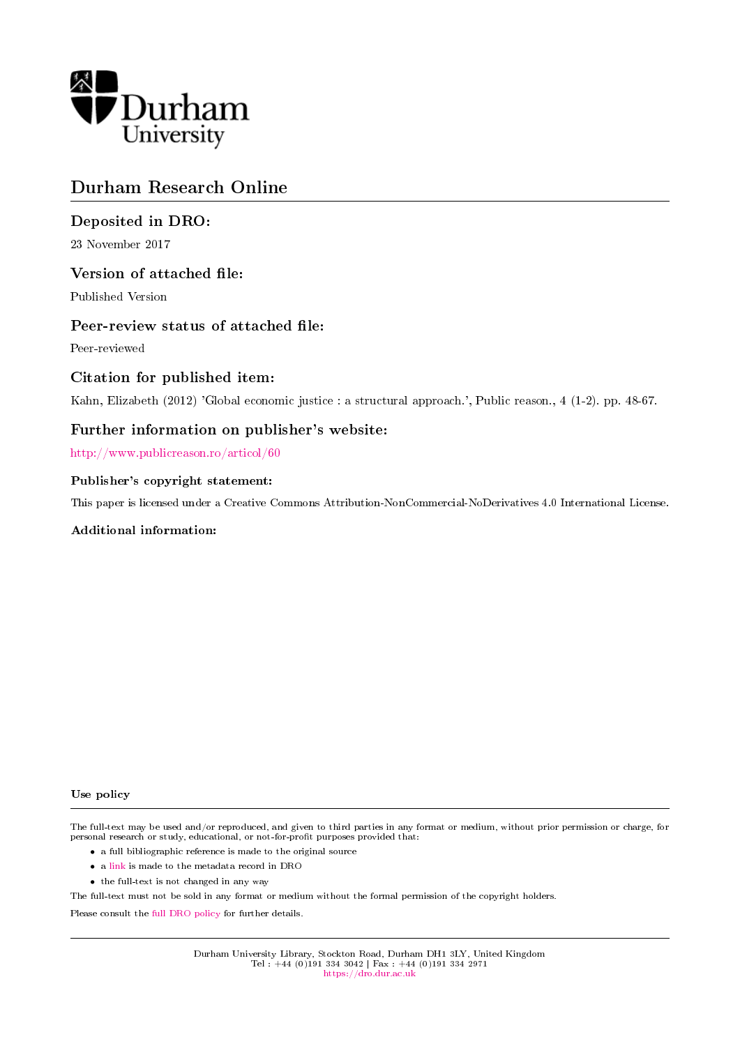

# Durham Research Online

# Deposited in DRO:

23 November 2017

# Version of attached file:

Published Version

# Peer-review status of attached file:

Peer-reviewed

## Citation for published item:

Kahn, Elizabeth (2012) 'Global economic justice : a structural approach.', Public reason., 4 (1-2). pp. 48-67.

# Further information on publisher's website:

<http://www.publicreason.ro/articol/60>

## Publisher's copyright statement:

This paper is licensed under a Creative Commons Attribution-NonCommercial-NoDerivatives 4.0 International License.

## Additional information:

#### Use policy

The full-text may be used and/or reproduced, and given to third parties in any format or medium, without prior permission or charge, for personal research or study, educational, or not-for-profit purposes provided that:

- a full bibliographic reference is made to the original source
- a [link](http://dro.dur.ac.uk/23551/) is made to the metadata record in DRO
- the full-text is not changed in any way

The full-text must not be sold in any format or medium without the formal permission of the copyright holders.

Please consult the [full DRO policy](https://dro.dur.ac.uk/policies/usepolicy.pdf) for further details.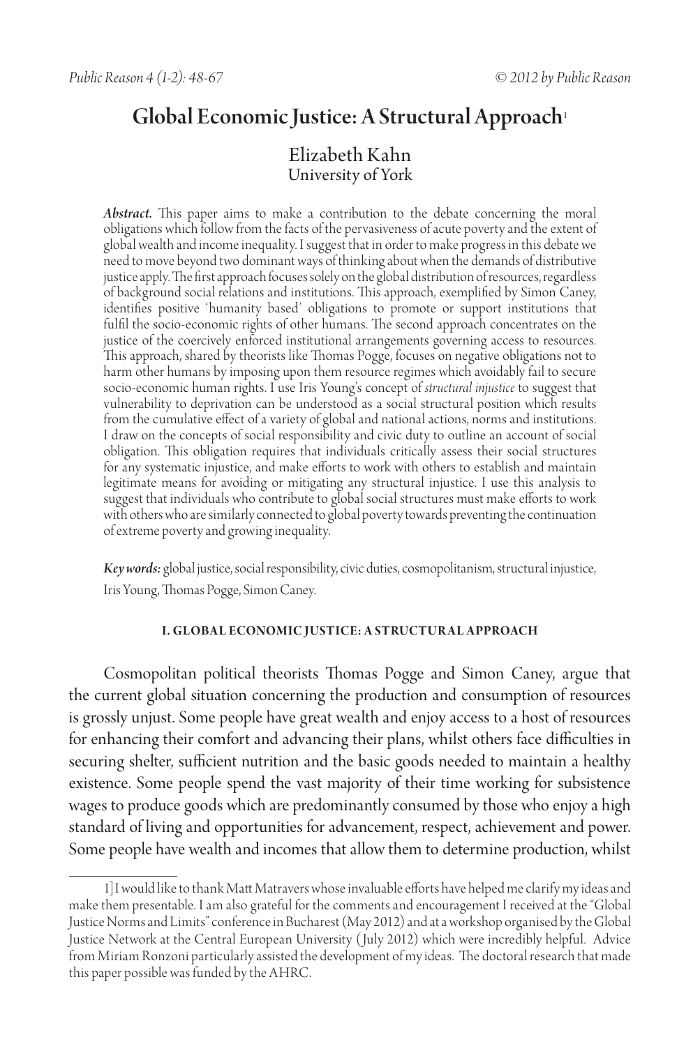# Global Economic Justice: A Structural Approach<sup>1</sup>

## Elizabeth Kahn University of York

*Abstract.* This paper aims to make a contribution to the debate concerning the moral obligations which follow from the facts of the pervasiveness of acute poverty and the extent of global wealth and income inequality. I suggest that in order to make progress in this debate we need to move beyond two dominant ways of thinking about when the demands of distributive justice apply. The first approach focuses solely on the global distribution of resources, regardless of background social relations and institutions. This approach, exemplified by Simon Caney, identifies positive 'humanity based' obligations to promote or support institutions that fulfil the socio-economic rights of other humans. The second approach concentrates on the justice of the coercively enforced institutional arrangements governing access to resources. This approach, shared by theorists like Thomas Pogge, focuses on negative obligations not to harm other humans by imposing upon them resource regimes which avoidably fail to secure socio-economic human rights. I use Iris Young's concept of *structural injustice* to suggest that vulnerability to deprivation can be understood as a social structural position which results from the cumulative effect of a variety of global and national actions, norms and institutions. I draw on the concepts of social responsibility and civic duty to outline an account of social obligation. This obligation requires that individuals critically assess their social structures for any systematic injustice, and make efforts to work with others to establish and maintain legitimate means for avoiding or mitigating any structural injustice. I use this analysis to suggest that individuals who contribute to global social structures must make efforts to work with others who are similarly connected to global poverty towards preventing the continuation of extreme poverty and growing inequality.

*Key words:* global justice, social responsibility, civic duties, cosmopolitanism, structural injustice, Iris Young, Thomas Pogge, Simon Caney.

#### **I. Globa l Economic Justice: A Structur a l Approach**

Cosmopolitan political theorists Thomas Pogge and Simon Caney, argue that the current global situation concerning the production and consumption of resources is grossly unjust. Some people have great wealth and enjoy access to a host of resources for enhancing their comfort and advancing their plans, whilst others face difficulties in securing shelter, sufficient nutrition and the basic goods needed to maintain a healthy existence. Some people spend the vast majority of their time working for subsistence wages to produce goods which are predominantly consumed by those who enjoy a high standard of living and opportunities for advancement, respect, achievement and power. Some people have wealth and incomes that allow them to determine production, whilst

<sup>1]</sup>I would like to thank Matt Matravers whose invaluable efforts have helped me clarify my ideas and make them presentable. I am also grateful for the comments and encouragement I received at the "Global Justice Norms and Limits" conference in Bucharest (May 2012) and at a workshop organised by the Global Justice Network at the Central European University (July 2012) which were incredibly helpful. Advice from Miriam Ronzoni particularly assisted the development of my ideas. The doctoral research that made this paper possible was funded by the AHRC.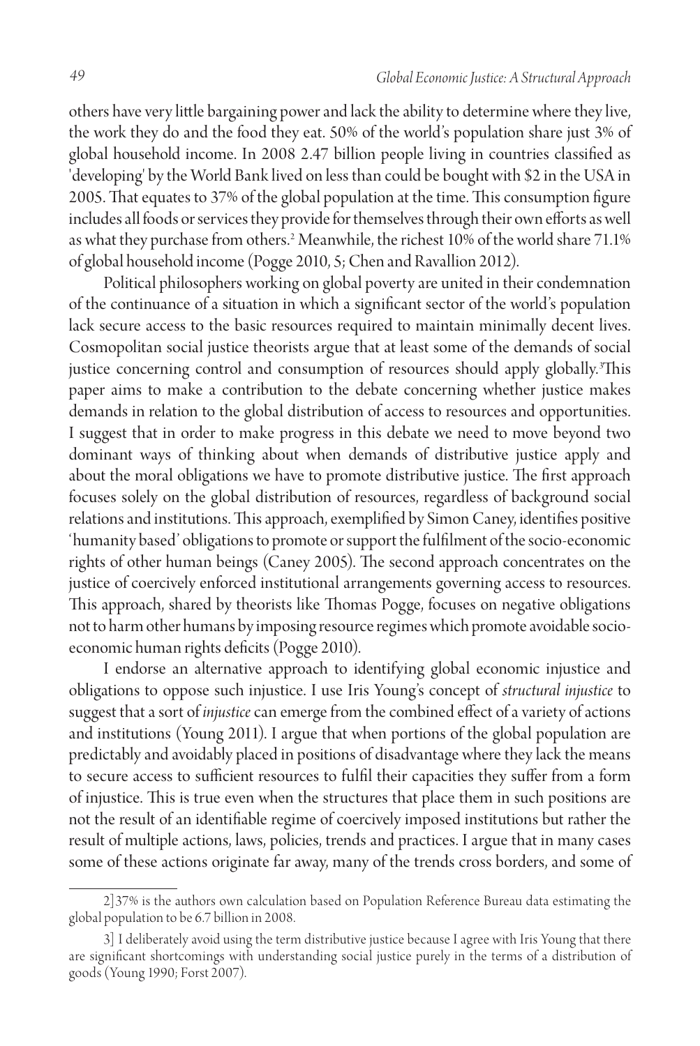others have very little bargaining power and lack the ability to determine where they live, the work they do and the food they eat. 50% of the world's population share just 3% of global household income. In 2008 2.47 billion people living in countries classified as 'developing' by the World Bank lived on less than could be bought with \$2 in the USA in 2005. That equates to 37% of the global population at the time. This consumption figure includes all foods or services they provide for themselves through their own efforts as well as what they purchase from others.2 Meanwhile, the richest 10% of the world share 71.1% of global household income (Pogge 2010, 5; Chen and Ravallion 2012).

Political philosophers working on global poverty are united in their condemnation of the continuance of a situation in which a significant sector of the world's population lack secure access to the basic resources required to maintain minimally decent lives. Cosmopolitan social justice theorists argue that at least some of the demands of social justice concerning control and consumption of resources should apply globally.3 This paper aims to make a contribution to the debate concerning whether justice makes demands in relation to the global distribution of access to resources and opportunities. I suggest that in order to make progress in this debate we need to move beyond two dominant ways of thinking about when demands of distributive justice apply and about the moral obligations we have to promote distributive justice. The first approach focuses solely on the global distribution of resources, regardless of background social relations and institutions. This approach, exemplified by Simon Caney, identifies positive 'humanity based' obligations to promote or support the fulfilment of the socio-economic rights of other human beings (Caney 2005). The second approach concentrates on the justice of coercively enforced institutional arrangements governing access to resources. This approach, shared by theorists like Thomas Pogge, focuses on negative obligations not to harm other humans by imposing resource regimes which promote avoidable socioeconomic human rights deficits (Pogge 2010).

I endorse an alternative approach to identifying global economic injustice and obligations to oppose such injustice. I use Iris Young's concept of *structural injustice* to suggest that a sort of *injustice* can emerge from the combined effect of a variety of actions and institutions (Young 2011). I argue that when portions of the global population are predictably and avoidably placed in positions of disadvantage where they lack the means to secure access to sufficient resources to fulfil their capacities they suffer from a form of injustice. This is true even when the structures that place them in such positions are not the result of an identifiable regime of coercively imposed institutions but rather the result of multiple actions, laws, policies, trends and practices. I argue that in many cases some of these actions originate far away, many of the trends cross borders, and some of

<sup>2]37%</sup> is the authors own calculation based on Population Reference Bureau data estimating the global population to be 6.7 billion in 2008.

<sup>3]</sup> I deliberately avoid using the term distributive justice because I agree with Iris Young that there are significant shortcomings with understanding social justice purely in the terms of a distribution of goods (Young 1990; Forst 2007).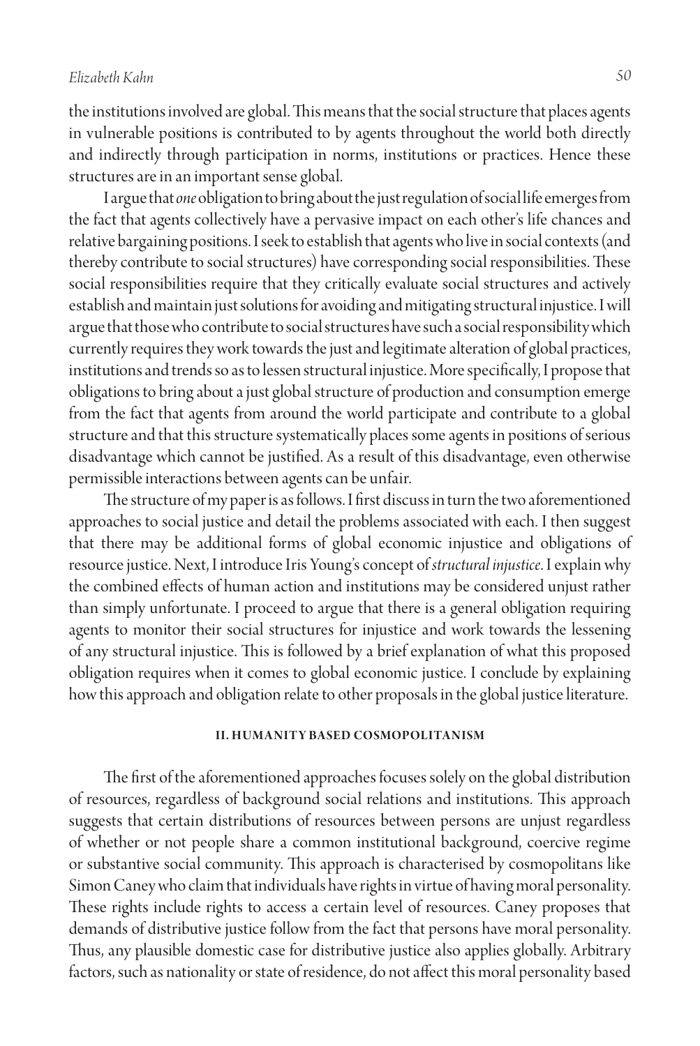the institutions involved are global. This means that the social structure that places agents in vulnerable positions is contributed to by agents throughout the world both directly and indirectly through participation in norms, institutions or practices. Hence these structures are in an important sense global.

I argue that *one* obligation to bring about the just regulation of social life emerges from the fact that agents collectively have a pervasive impact on each other's life chances and relative bargaining positions. I seek to establish that agents who live in social contexts (and thereby contribute to social structures) have corresponding social responsibilities. These social responsibilities require that they critically evaluate social structures and actively establish and maintain just solutions for avoiding and mitigating structural injustice. I will argue that those who contribute to social structures have such a social responsibility which currently requires they work towards the just and legitimate alteration of global practices, institutions and trends so as to lessen structural injustice. More specifically, I propose that obligations to bring about a just global structure of production and consumption emerge from the fact that agents from around the world participate and contribute to a global structure and that this structure systematically places some agents in positions of serious disadvantage which cannot be justified. As a result of this disadvantage, even otherwise permissible interactions between agents can be unfair.

The structure of my paper is as follows. I first discuss in turn the two aforementioned approaches to social justice and detail the problems associated with each. I then suggest that there may be additional forms of global economic injustice and obligations of resource justice. Next, I introduce Iris Young's concept of *structural injustice*. I explain why the combined effects of human action and institutions may be considered unjust rather than simply unfortunate. I proceed to argue that there is a general obligation requiring agents to monitor their social structures for injustice and work towards the lessening of any structural injustice. This is followed by a brief explanation of what this proposed obligation requires when it comes to global economic justice. I conclude by explaining how this approach and obligation relate to other proposals in the global justice literature.

#### **II. HUMANITY BASED COSMOPOLITANISM**

The first of the aforementioned approaches focuses solely on the global distribution of resources, regardless of background social relations and institutions. This approach suggests that certain distributions of resources between persons are unjust regardless of whether or not people share a common institutional background, coercive regime or substantive social community. This approach is characterised by cosmopolitans like Simon Caney who claim that individuals have rights in virtue of having moral personality. These rights include rights to access a certain level of resources. Caney proposes that demands of distributive justice follow from the fact that persons have moral personality. Thus, any plausible domestic case for distributive justice also applies globally. Arbitrary factors, such as nationality or state of residence, do not affect this moral personality based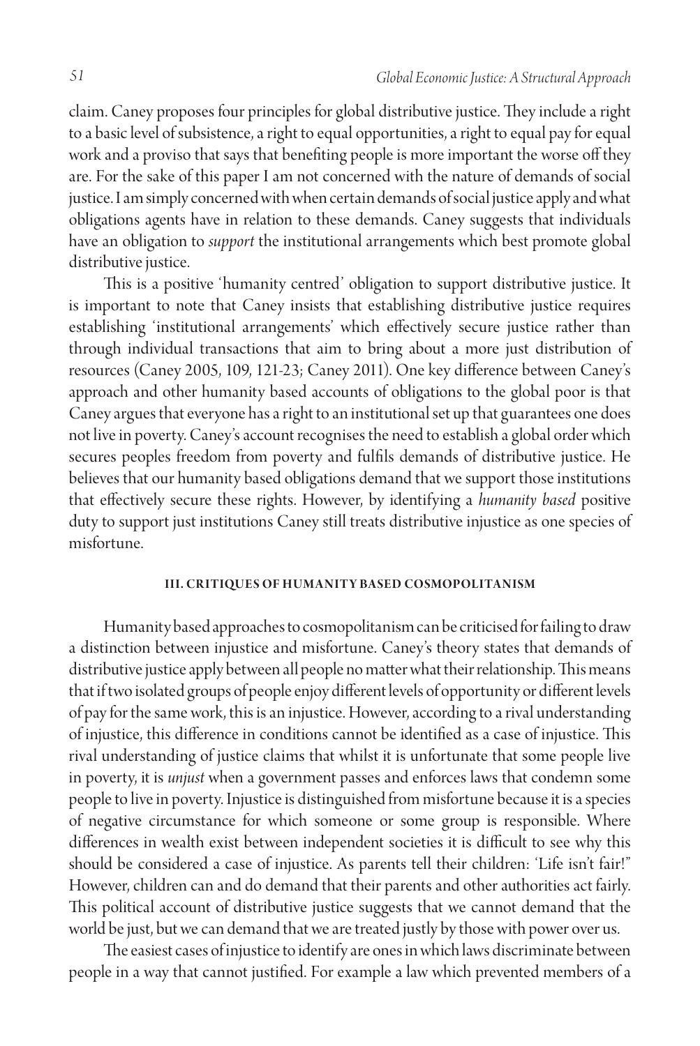claim. Caney proposes four principles for global distributive justice. They include a right to a basic level of subsistence, a right to equal opportunities, a right to equal pay for equal work and a proviso that says that benefiting people is more important the worse off they are. For the sake of this paper I am not concerned with the nature of demands of social justice. I am simply concerned with when certain demands of social justice apply and what obligations agents have in relation to these demands. Caney suggests that individuals have an obligation to *support* the institutional arrangements which best promote global distributive justice.

This is a positive 'humanity centred' obligation to support distributive justice. It is important to note that Caney insists that establishing distributive justice requires establishing 'institutional arrangements' which effectively secure justice rather than through individual transactions that aim to bring about a more just distribution of resources (Caney 2005, 109, 121-23; Caney 2011). One key difference between Caney's approach and other humanity based accounts of obligations to the global poor is that Caney argues that everyone has a right to an institutional set up that guarantees one does not live in poverty. Caney's account recognises the need to establish a global order which secures peoples freedom from poverty and fulfils demands of distributive justice. He believes that our humanity based obligations demand that we support those institutions that effectively secure these rights. However, by identifying a *humanity based* positive duty to support just institutions Caney still treats distributive injustice as one species of misfortune.

#### **III. CRITIQUES OF HUMANITY BASED COSMOPOLITANISM**

Humanity based approaches to cosmopolitanism can be criticised for failing to draw a distinction between injustice and misfortune. Caney's theory states that demands of distributive justice apply between all people no matter what their relationship. This means that if two isolated groups of people enjoy different levels of opportunity or different levels of pay for the same work, this is an injustice. However, according to a rival understanding of injustice, this difference in conditions cannot be identified as a case of injustice. This rival understanding of justice claims that whilst it is unfortunate that some people live in poverty, it is *unjust* when a government passes and enforces laws that condemn some people to live in poverty. Injustice is distinguished from misfortune because it is a species of negative circumstance for which someone or some group is responsible. Where differences in wealth exist between independent societies it is difficult to see why this should be considered a case of injustice. As parents tell their children: 'Life isn't fair!" However, children can and do demand that their parents and other authorities act fairly. This political account of distributive justice suggests that we cannot demand that the world be just, but we can demand that we are treated justly by those with power over us.

The easiest cases of injustice to identify are ones in which laws discriminate between people in a way that cannot justified. For example a law which prevented members of a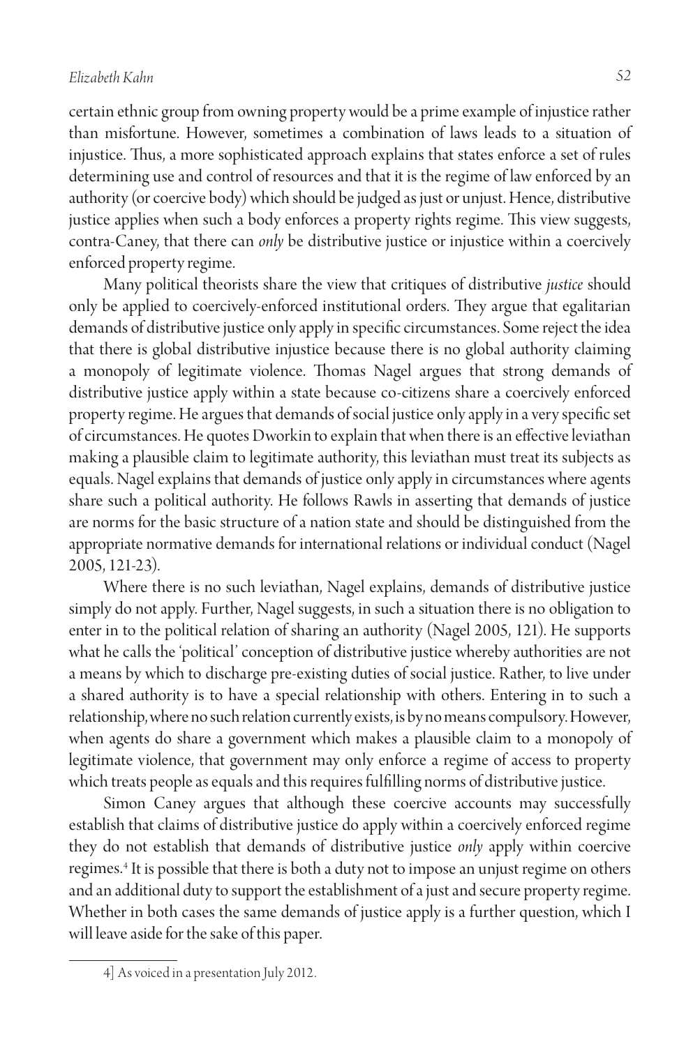certain ethnic group from owning property would be a prime example of injustice rather than misfortune. However, sometimes a combination of laws leads to a situation of injustice. Thus, a more sophisticated approach explains that states enforce a set of rules determining use and control of resources and that it is the regime of law enforced by an authority (or coercive body) which should be judged as just or unjust. Hence, distributive justice applies when such a body enforces a property rights regime. This view suggests, contra-Caney, that there can *only* be distributive justice or injustice within a coercively enforced property regime.

Many political theorists share the view that critiques of distributive *justice* should only be applied to coercively-enforced institutional orders. They argue that egalitarian demands of distributive justice only apply in specific circumstances. Some reject the idea that there is global distributive injustice because there is no global authority claiming a monopoly of legitimate violence. Thomas Nagel argues that strong demands of distributive justice apply within a state because co-citizens share a coercively enforced property regime. He argues that demands of social justice only apply in a very specific set of circumstances. He quotes Dworkin to explain that when there is an effective leviathan making a plausible claim to legitimate authority, this leviathan must treat its subjects as equals. Nagel explains that demands of justice only apply in circumstances where agents share such a political authority. He follows Rawls in asserting that demands of justice are norms for the basic structure of a nation state and should be distinguished from the appropriate normative demands for international relations or individual conduct (Nagel 2005, 121-23).

Where there is no such leviathan, Nagel explains, demands of distributive justice simply do not apply. Further, Nagel suggests, in such a situation there is no obligation to enter in to the political relation of sharing an authority (Nagel 2005, 121). He supports what he calls the 'political' conception of distributive justice whereby authorities are not a means by which to discharge pre-existing duties of social justice. Rather, to live under a shared authority is to have a special relationship with others. Entering in to such a relationship, where no such relation currently exists, is by no means compulsory. However, when agents do share a government which makes a plausible claim to a monopoly of legitimate violence, that government may only enforce a regime of access to property which treats people as equals and this requires fulfilling norms of distributive justice.

Simon Caney argues that although these coercive accounts may successfully establish that claims of distributive justice do apply within a coercively enforced regime they do not establish that demands of distributive justice *only* apply within coercive regimes.4 It is possible that there is both a duty not to impose an unjust regime on others and an additional duty to support the establishment of a just and secure property regime. Whether in both cases the same demands of justice apply is a further question, which I will leave aside for the sake of this paper.

<sup>4]</sup> As voiced in a presentation July 2012.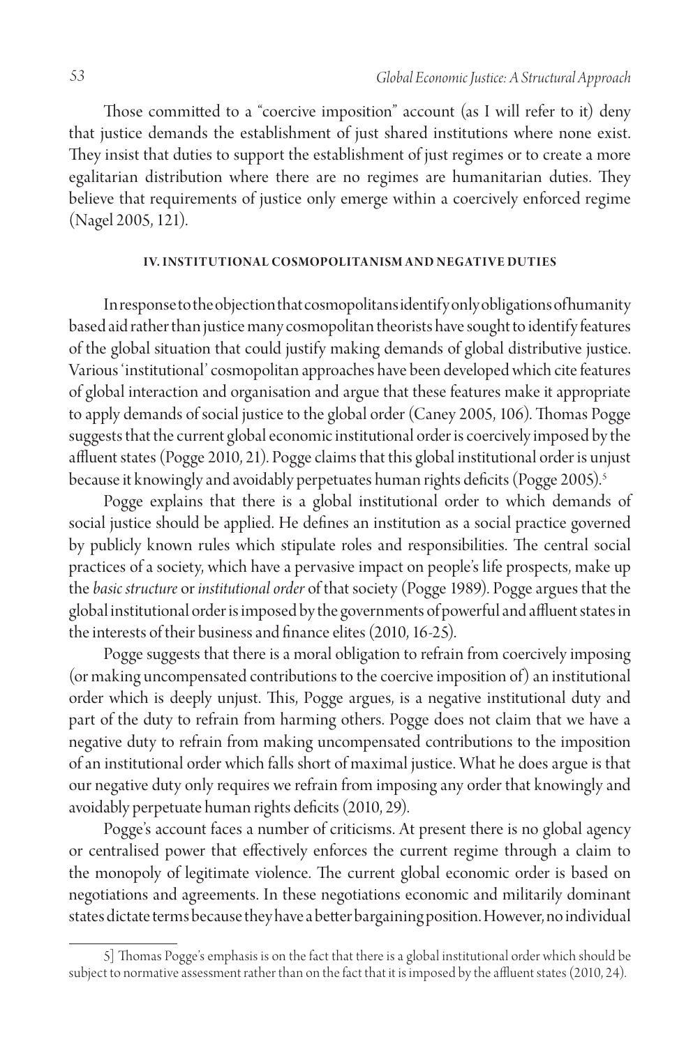Those committed to a "coercive imposition" account (as I will refer to it) deny that justice demands the establishment of just shared institutions where none exist. They insist that duties to support the establishment of just regimes or to create a more egalitarian distribution where there are no regimes are humanitarian duties. They believe that requirements of justice only emerge within a coercively enforced regime (Nagel 2005, 121).

#### **I V. Institutiona l Cosmopolita nism a n d Negative Duties**

In response to the objection that cosmopolitans identify only obligations of humanity based aid rather than justice many cosmopolitan theorists have sought to identify features of the global situation that could justify making demands of global distributive justice. Various 'institutional' cosmopolitan approaches have been developed which cite features of global interaction and organisation and argue that these features make it appropriate to apply demands of social justice to the global order (Caney 2005, 106). Thomas Pogge suggests that the current global economic institutional order is coercively imposed by the affluent states (Pogge 2010, 21). Pogge claims that this global institutional order is unjust because it knowingly and avoidably perpetuates human rights deficits (Pogge 2005).<sup>5</sup>

Pogge explains that there is a global institutional order to which demands of social justice should be applied. He defines an institution as a social practice governed by publicly known rules which stipulate roles and responsibilities. The central social practices of a society, which have a pervasive impact on people's life prospects, make up the *basic structure* or *institutional order* of that society (Pogge 1989). Pogge argues that the global institutional order is imposed by the governments of powerful and affluent states in the interests of their business and finance elites (2010, 16-25).

Pogge suggests that there is a moral obligation to refrain from coercively imposing (or making uncompensated contributions to the coercive imposition of) an institutional order which is deeply unjust. This, Pogge argues, is a negative institutional duty and part of the duty to refrain from harming others. Pogge does not claim that we have a negative duty to refrain from making uncompensated contributions to the imposition of an institutional order which falls short of maximal justice. What he does argue is that our negative duty only requires we refrain from imposing any order that knowingly and avoidably perpetuate human rights deficits (2010, 29).

Pogge's account faces a number of criticisms. At present there is no global agency or centralised power that effectively enforces the current regime through a claim to the monopoly of legitimate violence. The current global economic order is based on negotiations and agreements. In these negotiations economic and militarily dominant states dictate terms because they have a better bargaining position. However, no individual

<sup>5]</sup> Thomas Pogge's emphasis is on the fact that there is a global institutional order which should be subject to normative assessment rather than on the fact that it is imposed by the affluent states (2010, 24).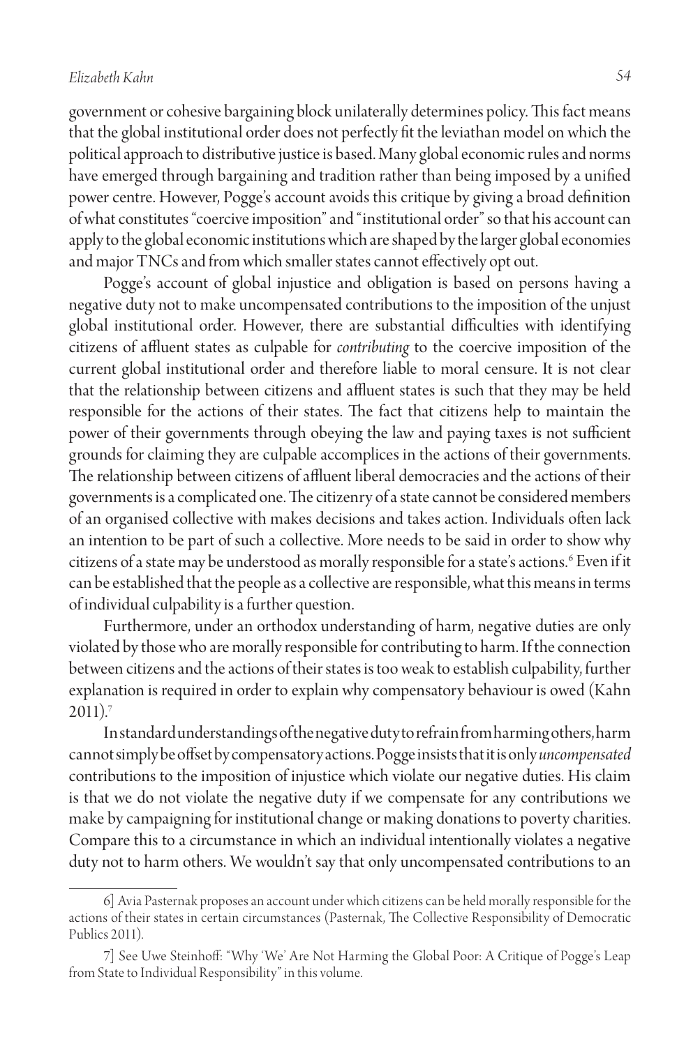government or cohesive bargaining block unilaterally determines policy. This fact means that the global institutional order does not perfectly fit the leviathan model on which the political approach to distributive justice is based. Many global economic rules and norms have emerged through bargaining and tradition rather than being imposed by a unified power centre. However, Pogge's account avoids this critique by giving a broad definition of what constitutes "coercive imposition" and "institutional order" so that his account can apply to the global economic institutions which are shaped by the larger global economies and major TNCs and from which smaller states cannot effectively opt out.

Pogge's account of global injustice and obligation is based on persons having a negative duty not to make uncompensated contributions to the imposition of the unjust global institutional order. However, there are substantial difficulties with identifying citizens of affluent states as culpable for *contributing* to the coercive imposition of the current global institutional order and therefore liable to moral censure. It is not clear that the relationship between citizens and affluent states is such that they may be held responsible for the actions of their states. The fact that citizens help to maintain the power of their governments through obeying the law and paying taxes is not sufficient grounds for claiming they are culpable accomplices in the actions of their governments. The relationship between citizens of affluent liberal democracies and the actions of their governments is a complicated one. The citizenry of a state cannot be considered members of an organised collective with makes decisions and takes action. Individuals often lack an intention to be part of such a collective. More needs to be said in order to show why citizens of a state may be understood as morally responsible for a state's actions.6 Even if it can be established that the people as a collective are responsible, what this means in terms of individual culpability is a further question.

Furthermore, under an orthodox understanding of harm, negative duties are only violated by those who are morally responsible for contributing to harm. If the connection between citizens and the actions of their states is too weak to establish culpability, further explanation is required in order to explain why compensatory behaviour is owed (Kahn  $2011$ ).<sup>7</sup>

In standard understandings of the negative duty to refrain from harming others, harm cannot simply be offset by compensatory actions. Pogge insists that it is only *uncompensated*  contributions to the imposition of injustice which violate our negative duties. His claim is that we do not violate the negative duty if we compensate for any contributions we make by campaigning for institutional change or making donations to poverty charities. Compare this to a circumstance in which an individual intentionally violates a negative duty not to harm others. We wouldn't say that only uncompensated contributions to an

<sup>6]</sup> Avia Pasternak proposes an account under which citizens can be held morally responsible for the actions of their states in certain circumstances (Pasternak, The Collective Responsibility of Democratic Publics 2011).

<sup>7]</sup> See Uwe Steinhoff: "Why 'We' Are Not Harming the Global Poor: A Critique of Pogge's Leap from State to Individual Responsibility" in this volume.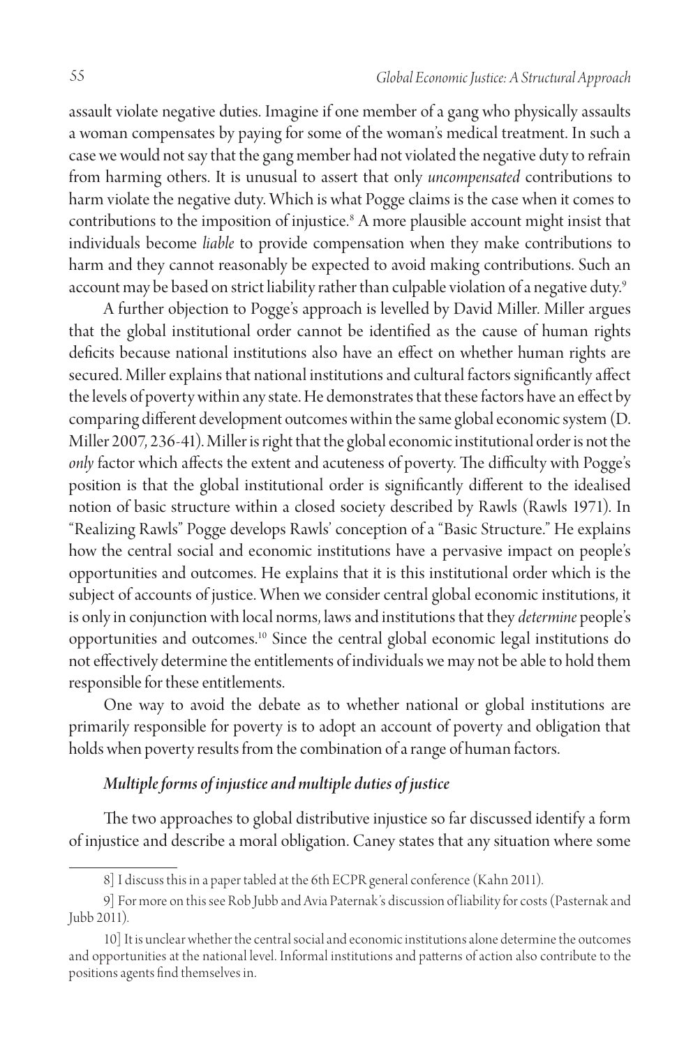assault violate negative duties. Imagine if one member of a gang who physically assaults a woman compensates by paying for some of the woman's medical treatment. In such a case we would not say that the gang member had not violated the negative duty to refrain from harming others. It is unusual to assert that only *uncompensated* contributions to harm violate the negative duty. Which is what Pogge claims is the case when it comes to contributions to the imposition of injustice.8 A more plausible account might insist that individuals become *liable* to provide compensation when they make contributions to harm and they cannot reasonably be expected to avoid making contributions. Such an account may be based on strict liability rather than culpable violation of a negative duty.<sup>9</sup>

A further objection to Pogge's approach is levelled by David Miller. Miller argues that the global institutional order cannot be identified as the cause of human rights deficits because national institutions also have an effect on whether human rights are secured. Miller explains that national institutions and cultural factors significantly affect the levels of poverty within any state. He demonstrates that these factors have an effect by comparing different development outcomes within the same global economic system (D. Miller 2007, 236-41). Miller is right that the global economic institutional order is not the *only* factor which affects the extent and acuteness of poverty. The difficulty with Pogge's position is that the global institutional order is significantly different to the idealised notion of basic structure within a closed society described by Rawls (Rawls 1971). In "Realizing Rawls" Pogge develops Rawls' conception of a "Basic Structure." He explains how the central social and economic institutions have a pervasive impact on people's opportunities and outcomes. He explains that it is this institutional order which is the subject of accounts of justice. When we consider central global economic institutions, it is only in conjunction with local norms, laws and institutions that they *determine* people's opportunities and outcomes.10 Since the central global economic legal institutions do not effectively determine the entitlements of individuals we may not be able to hold them responsible for these entitlements.

One way to avoid the debate as to whether national or global institutions are primarily responsible for poverty is to adopt an account of poverty and obligation that holds when poverty results from the combination of a range of human factors.

## *Multiple forms of injustice and multiple duties of justice*

The two approaches to global distributive injustice so far discussed identify a form of injustice and describe a moral obligation. Caney states that any situation where some

<sup>8]</sup> I discuss this in a paper tabled at the 6th ECPR general conference (Kahn 2011).

<sup>9]</sup> For more on this see Rob Jubb and Avia Paternak's discussion of liability for costs (Pasternak and Jubb 2011).

<sup>10]</sup> It is unclear whether the central social and economic institutions alone determine the outcomes and opportunities at the national level. Informal institutions and patterns of action also contribute to the positions agents find themselves in.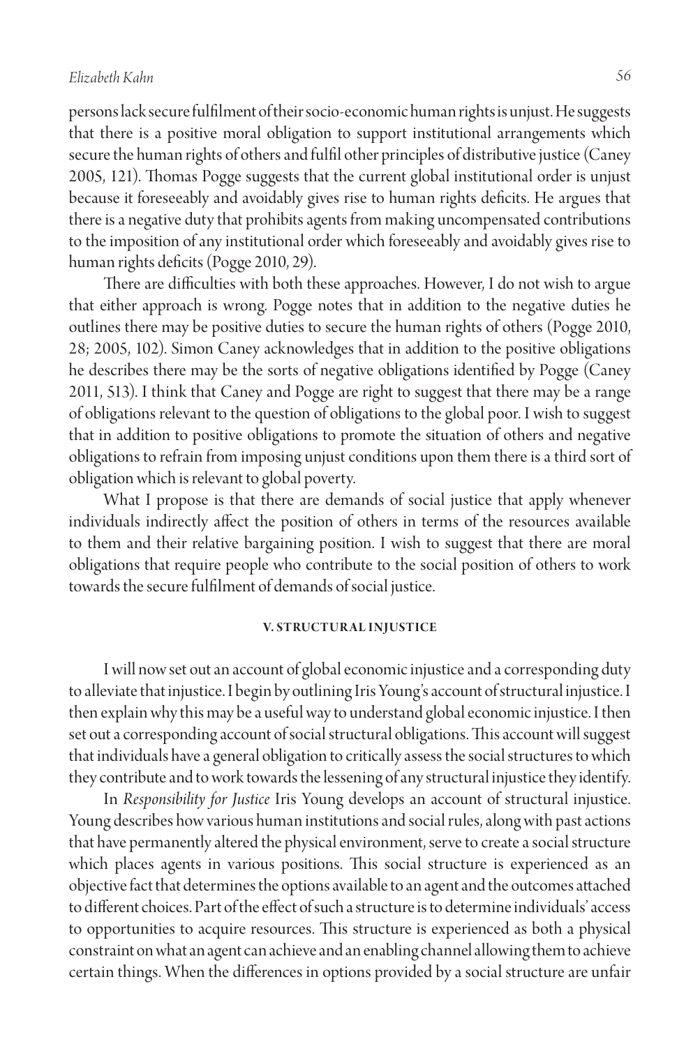persons lack secure fulfilment of their socio-economic human rights is unjust. He suggests that there is a positive moral obligation to support institutional arrangements which secure the human rights of others and fulfil other principles of distributive justice (Caney 2005, 121). Thomas Pogge suggests that the current global institutional order is unjust because it foreseeably and avoidably gives rise to human rights deficits. He argues that there is a negative duty that prohibits agents from making uncompensated contributions to the imposition of any institutional order which foreseeably and avoidably gives rise to human rights deficits (Pogge 2010, 29).

There are difficulties with both these approaches. However, I do not wish to argue that either approach is wrong. Pogge notes that in addition to the negative duties he outlines there may be positive duties to secure the human rights of others (Pogge 2010, 28; 2005, 102). Simon Caney acknowledges that in addition to the positive obligations he describes there may be the sorts of negative obligations identified by Pogge (Caney 2011, 513). I think that Caney and Pogge are right to suggest that there may be a range of obligations relevant to the question of obligations to the global poor. I wish to suggest that in addition to positive obligations to promote the situation of others and negative obligations to refrain from imposing unjust conditions upon them there is a third sort of obligation which is relevant to global poverty.

What I propose is that there are demands of social justice that apply whenever individuals indirectly affect the position of others in terms of the resources available to them and their relative bargaining position. I wish to suggest that there are moral obligations that require people who contribute to the social position of others to work towards the secure fulfilment of demands of social justice.

#### **V. STRUCTURAL INJUSTICE**

I will now set out an account of global economic injustice and a corresponding duty to alleviate that injustice. I begin by outlining Iris Young's account of structural injustice. I then explain why this may be a useful way to understand global economic injustice. I then set out a corresponding account of social structural obligations. This account will suggest that individuals have a general obligation to critically assess the social structures to which they contribute and to work towards the lessening of any structural injustice they identify.

In *Responsibility for Justice* Iris Young develops an account of structural injustice. Young describes how various human institutions and social rules, along with past actions that have permanently altered the physical environment, serve to create a social structure which places agents in various positions. This social structure is experienced as an objective fact that determines the options available to an agent and the outcomes attached to different choices. Part of the effect of such a structure is to determine individuals' access to opportunities to acquire resources. This structure is experienced as both a physical constraint on what an agent can achieve and an enabling channel allowing them to achieve certain things. When the differences in options provided by a social structure are unfair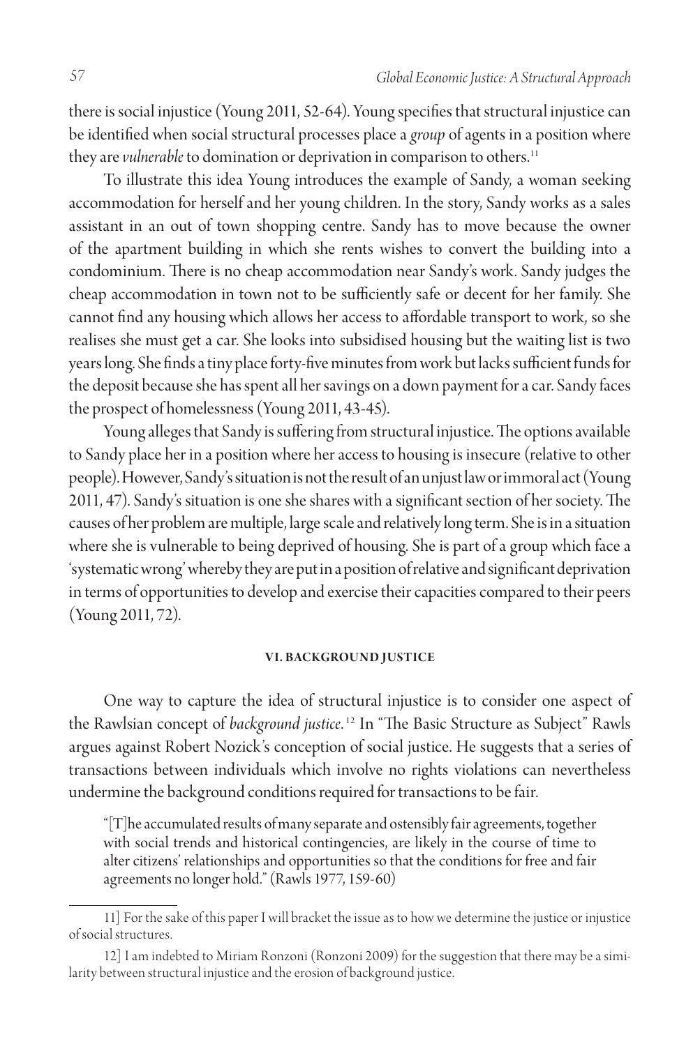there is social injustice (Young 2011, 52-64). Young specifies that structural injustice can be identified when social structural processes place a *group* of agents in a position where they are *vulnerable* to domination or deprivation in comparison to others.<sup>11</sup>

To illustrate this idea Young introduces the example of Sandy, a woman seeking accommodation for herself and her young children. In the story, Sandy works as a sales assistant in an out of town shopping centre. Sandy has to move because the owner of the apartment building in which she rents wishes to convert the building into a condominium. There is no cheap accommodation near Sandy's work. Sandy judges the cheap accommodation in town not to be sufficiently safe or decent for her family. She cannot find any housing which allows her access to affordable transport to work, so she realises she must get a car. She looks into subsidised housing but the waiting list is two years long. She finds a tiny place forty-five minutes from work but lacks sufficient funds for the deposit because she has spent all her savings on a down payment for a car. Sandy faces the prospect of homelessness (Young 2011, 43-45).

Young alleges that Sandy is suffering from structural injustice. The options available to Sandy place her in a position where her access to housing is insecure (relative to other people). However, Sandy's situation is not the result of an unjust law or immoral act (Young 2011, 47). Sandy's situation is one she shares with a significant section of her society. The causes of her problem are multiple, large scale and relatively long term. She is in a situation where she is vulnerable to being deprived of housing. She is part of a group which face a 'systematic wrong' whereby they are put in a position of relative and significant deprivation in terms of opportunities to develop and exercise their capacities compared to their peers (Young 2011, 72).

#### **VI. BACKGROUND JUSTICE**

One way to capture the idea of structural injustice is to consider one aspect of the Rawlsian concept of *background justice*. 12 In "The Basic Structure as Subject" Rawls argues against Robert Nozick's conception of social justice. He suggests that a series of transactions between individuals which involve no rights violations can nevertheless undermine the background conditions required for transactions to be fair.

"[T]he accumulated results of many separate and ostensibly fair agreements, together with social trends and historical contingencies, are likely in the course of time to alter citizens' relationships and opportunities so that the conditions for free and fair agreements no longer hold." (Rawls 1977, 159-60)

<sup>11]</sup> For the sake of this paper I will bracket the issue as to how we determine the justice or injustice of social structures.

<sup>12]</sup> I am indebted to Miriam Ronzoni (Ronzoni 2009) for the suggestion that there may be a similarity between structural injustice and the erosion of background justice.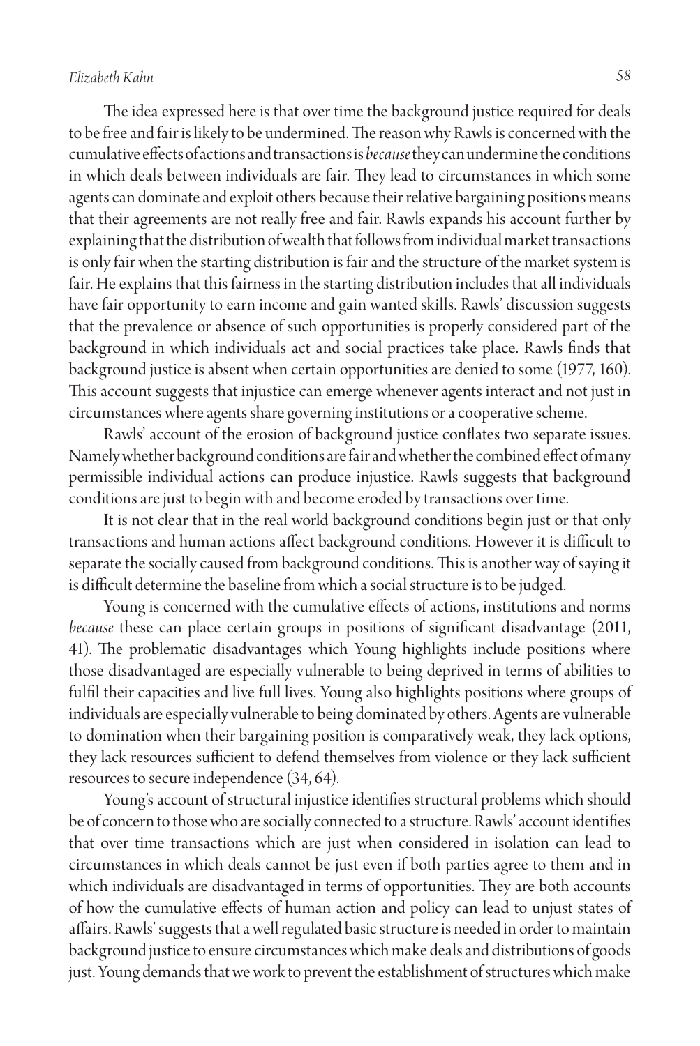The idea expressed here is that over time the background justice required for deals to be free and fair is likely to be undermined. The reason why Rawls is concerned with the cumulative effects of actions and transactions is *because* they can undermine the conditions in which deals between individuals are fair. They lead to circumstances in which some agents can dominate and exploit others because their relative bargaining positions means that their agreements are not really free and fair. Rawls expands his account further by explaining that the distribution of wealth that follows from individual market transactions is only fair when the starting distribution is fair and the structure of the market system is fair. He explains that this fairness in the starting distribution includes that all individuals have fair opportunity to earn income and gain wanted skills. Rawls' discussion suggests that the prevalence or absence of such opportunities is properly considered part of the background in which individuals act and social practices take place. Rawls finds that background justice is absent when certain opportunities are denied to some (1977, 160). This account suggests that injustice can emerge whenever agents interact and not just in circumstances where agents share governing institutions or a cooperative scheme.

Rawls' account of the erosion of background justice conflates two separate issues. Namely whether background conditions are fair and whether the combined effect of many permissible individual actions can produce injustice. Rawls suggests that background conditions are just to begin with and become eroded by transactions over time.

It is not clear that in the real world background conditions begin just or that only transactions and human actions affect background conditions. However it is difficult to separate the socially caused from background conditions. This is another way of saying it is difficult determine the baseline from which a social structure is to be judged.

Young is concerned with the cumulative effects of actions, institutions and norms *because* these can place certain groups in positions of significant disadvantage (2011, 41). The problematic disadvantages which Young highlights include positions where those disadvantaged are especially vulnerable to being deprived in terms of abilities to fulfil their capacities and live full lives. Young also highlights positions where groups of individuals are especially vulnerable to being dominated by others. Agents are vulnerable to domination when their bargaining position is comparatively weak, they lack options, they lack resources sufficient to defend themselves from violence or they lack sufficient resources to secure independence (34, 64).

Young's account of structural injustice identifies structural problems which should be of concern to those who are socially connected to a structure. Rawls' account identifies that over time transactions which are just when considered in isolation can lead to circumstances in which deals cannot be just even if both parties agree to them and in which individuals are disadvantaged in terms of opportunities. They are both accounts of how the cumulative effects of human action and policy can lead to unjust states of affairs. Rawls' suggests that a well regulated basic structure is needed in order to maintain background justice to ensure circumstances which make deals and distributions of goods just. Young demands that we work to prevent the establishment of structures which make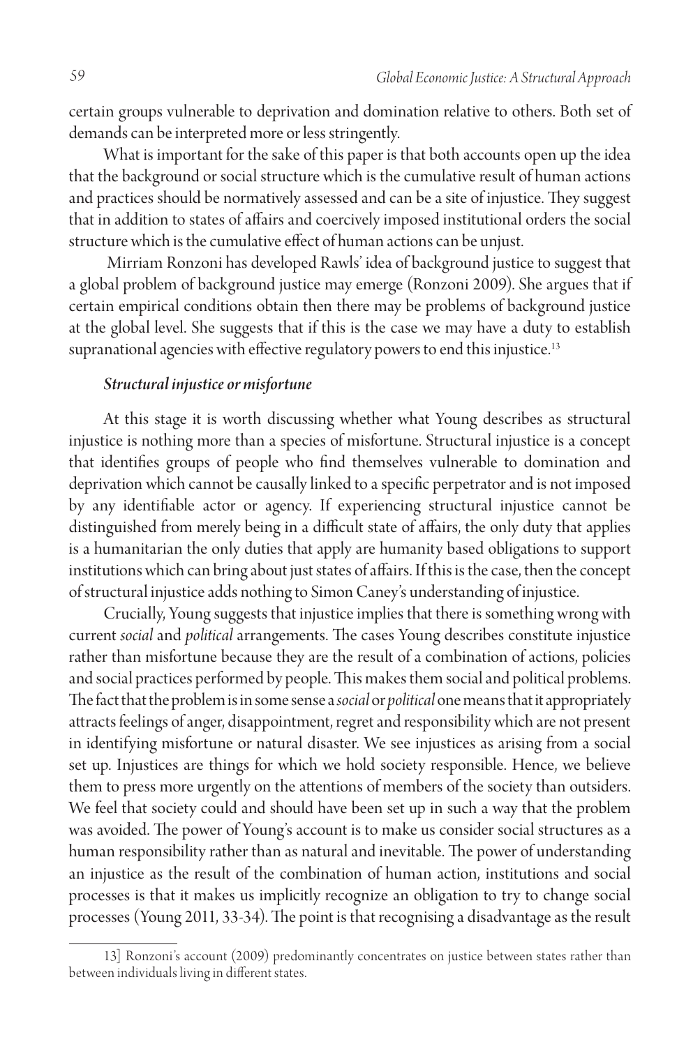certain groups vulnerable to deprivation and domination relative to others. Both set of demands can be interpreted more or less stringently.

What is important for the sake of this paper is that both accounts open up the idea that the background or social structure which is the cumulative result of human actions and practices should be normatively assessed and can be a site of injustice. They suggest that in addition to states of affairs and coercively imposed institutional orders the social structure which is the cumulative effect of human actions can be unjust.

 Mirriam Ronzoni has developed Rawls' idea of background justice to suggest that a global problem of background justice may emerge (Ronzoni 2009). She argues that if certain empirical conditions obtain then there may be problems of background justice at the global level. She suggests that if this is the case we may have a duty to establish supranational agencies with effective regulatory powers to end this injustice.<sup>13</sup>

#### *Structural injustice or misfortune*

At this stage it is worth discussing whether what Young describes as structural injustice is nothing more than a species of misfortune. Structural injustice is a concept that identifies groups of people who find themselves vulnerable to domination and deprivation which cannot be causally linked to a specific perpetrator and is not imposed by any identifiable actor or agency. If experiencing structural injustice cannot be distinguished from merely being in a difficult state of affairs, the only duty that applies is a humanitarian the only duties that apply are humanity based obligations to support institutions which can bring about just states of affairs. If this is the case, then the concept of structural injustice adds nothing to Simon Caney's understanding of injustice.

Crucially, Young suggests that injustice implies that there is something wrong with current *social* and *political* arrangements. The cases Young describes constitute injustice rather than misfortune because they are the result of a combination of actions, policies and social practices performed by people. This makes them social and political problems. The fact that the problem is in some sense a *social* or *political* one means that it appropriately attracts feelings of anger, disappointment, regret and responsibility which are not present in identifying misfortune or natural disaster. We see injustices as arising from a social set up. Injustices are things for which we hold society responsible. Hence, we believe them to press more urgently on the attentions of members of the society than outsiders. We feel that society could and should have been set up in such a way that the problem was avoided. The power of Young's account is to make us consider social structures as a human responsibility rather than as natural and inevitable. The power of understanding an injustice as the result of the combination of human action, institutions and social processes is that it makes us implicitly recognize an obligation to try to change social processes (Young 2011, 33-34). The point is that recognising a disadvantage as the result

<sup>13]</sup> Ronzoni's account (2009) predominantly concentrates on justice between states rather than between individuals living in different states.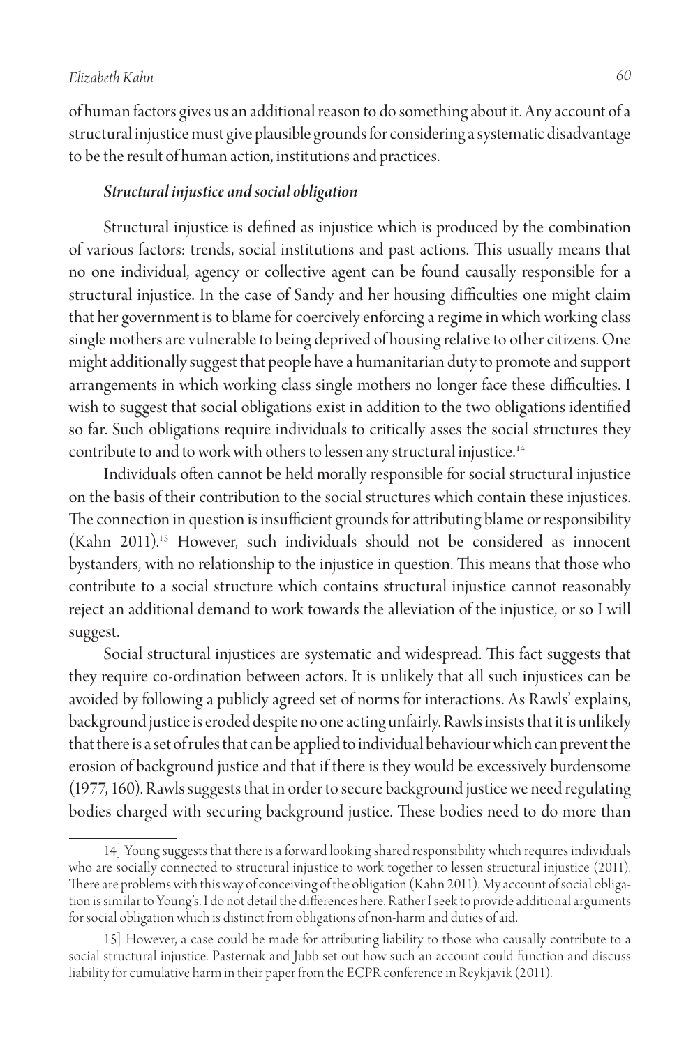of human factors gives us an additional reason to do something about it. Any account of a structural injustice must give plausible grounds for considering a systematic disadvantage to be the result of human action, institutions and practices.

#### *Structural injustice and social obligation*

Structural injustice is defined as injustice which is produced by the combination of various factors: trends, social institutions and past actions. This usually means that no one individual, agency or collective agent can be found causally responsible for a structural injustice. In the case of Sandy and her housing difficulties one might claim that her government is to blame for coercively enforcing a regime in which working class single mothers are vulnerable to being deprived of housing relative to other citizens. One might additionally suggest that people have a humanitarian duty to promote and support arrangements in which working class single mothers no longer face these difficulties. I wish to suggest that social obligations exist in addition to the two obligations identified so far. Such obligations require individuals to critically asses the social structures they contribute to and to work with others to lessen any structural injustice.<sup>14</sup>

Individuals often cannot be held morally responsible for social structural injustice on the basis of their contribution to the social structures which contain these injustices. The connection in question is insufficient grounds for attributing blame or responsibility (Kahn 2011).15 However, such individuals should not be considered as innocent bystanders, with no relationship to the injustice in question. This means that those who contribute to a social structure which contains structural injustice cannot reasonably reject an additional demand to work towards the alleviation of the injustice, or so I will suggest.

Social structural injustices are systematic and widespread. This fact suggests that they require co-ordination between actors. It is unlikely that all such injustices can be avoided by following a publicly agreed set of norms for interactions. As Rawls' explains, background justice is eroded despite no one acting unfairly. Rawls insists that it is unlikely that there is a set of rules that can be applied to individual behaviour which can prevent the erosion of background justice and that if there is they would be excessively burdensome (1977, 160). Rawls suggests that in order to secure background justice we need regulating bodies charged with securing background justice. These bodies need to do more than

<sup>14]</sup> Young suggests that there is a forward looking shared responsibility which requires individuals who are socially connected to structural injustice to work together to lessen structural injustice (2011). There are problems with this way of conceiving of the obligation (Kahn 2011). My account of social obligation is similar to Young's. I do not detail the differences here. Rather I seek to provide additional arguments for social obligation which is distinct from obligations of non-harm and duties of aid.

<sup>15]</sup> However, a case could be made for attributing liability to those who causally contribute to a social structural injustice. Pasternak and Jubb set out how such an account could function and discuss liability for cumulative harm in their paper from the ECPR conference in Reykjavik (2011).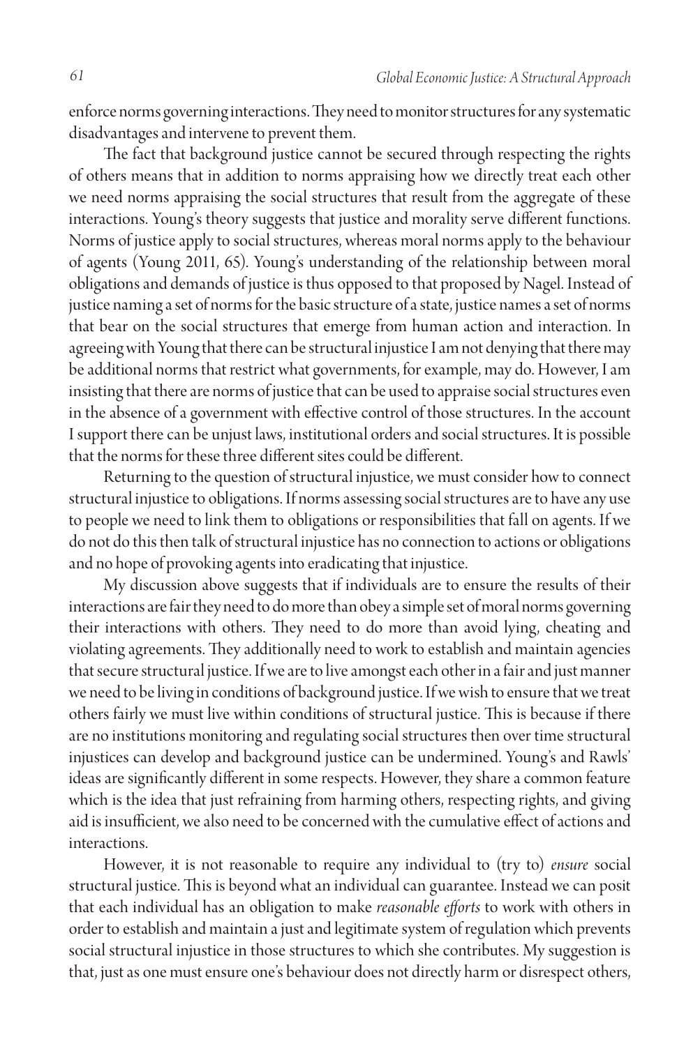enforce norms governing interactions. They need to monitor structures for any systematic disadvantages and intervene to prevent them.

The fact that background justice cannot be secured through respecting the rights of others means that in addition to norms appraising how we directly treat each other we need norms appraising the social structures that result from the aggregate of these interactions. Young's theory suggests that justice and morality serve different functions. Norms of justice apply to social structures, whereas moral norms apply to the behaviour of agents (Young 2011, 65). Young's understanding of the relationship between moral obligations and demands of justice is thus opposed to that proposed by Nagel. Instead of justice naming a set of norms for the basic structure of a state, justice names a set of norms that bear on the social structures that emerge from human action and interaction. In agreeing with Young that there can be structural injustice I am not denying that there may be additional norms that restrict what governments, for example, may do. However, I am insisting that there are norms of justice that can be used to appraise social structures even in the absence of a government with effective control of those structures. In the account I support there can be unjust laws, institutional orders and social structures. It is possible that the norms for these three different sites could be different.

Returning to the question of structural injustice, we must consider how to connect structural injustice to obligations. If norms assessing social structures are to have any use to people we need to link them to obligations or responsibilities that fall on agents. If we do not do this then talk of structural injustice has no connection to actions or obligations and no hope of provoking agents into eradicating that injustice.

My discussion above suggests that if individuals are to ensure the results of their interactions are fair they need to do more than obey a simple set of moral norms governing their interactions with others. They need to do more than avoid lying, cheating and violating agreements. They additionally need to work to establish and maintain agencies that secure structural justice. If we are to live amongst each other in a fair and just manner we need to be living in conditions of background justice. If we wish to ensure that we treat others fairly we must live within conditions of structural justice. This is because if there are no institutions monitoring and regulating social structures then over time structural injustices can develop and background justice can be undermined. Young's and Rawls' ideas are significantly different in some respects. However, they share a common feature which is the idea that just refraining from harming others, respecting rights, and giving aid is insufficient, we also need to be concerned with the cumulative effect of actions and interactions.

However, it is not reasonable to require any individual to (try to) *ensure* social structural justice. This is beyond what an individual can guarantee. Instead we can posit that each individual has an obligation to make *reasonable efforts* to work with others in order to establish and maintain a just and legitimate system of regulation which prevents social structural injustice in those structures to which she contributes. My suggestion is that, just as one must ensure one's behaviour does not directly harm or disrespect others,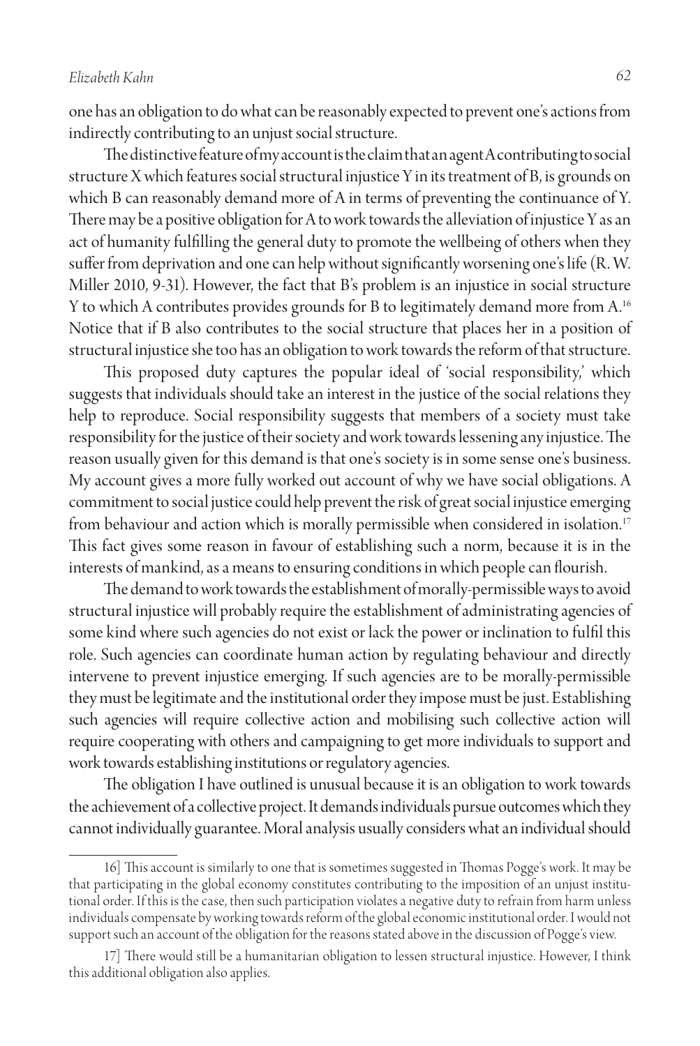one has an obligation to do what can be reasonably expected to prevent one's actions from indirectly contributing to an unjust social structure.

The distinctive feature of my account is the claim that an agent A contributing to social structure X which features social structural injustice Y in its treatment of B, is grounds on which B can reasonably demand more of A in terms of preventing the continuance of Y. There may be a positive obligation for A to work towards the alleviation of injustice Y as an act of humanity fulfilling the general duty to promote the wellbeing of others when they suffer from deprivation and one can help without significantly worsening one's life (R. W. Miller 2010, 9-31). However, the fact that B's problem is an injustice in social structure Y to which A contributes provides grounds for B to legitimately demand more from A.16 Notice that if B also contributes to the social structure that places her in a position of structural injustice she too has an obligation to work towards the reform of that structure.

This proposed duty captures the popular ideal of 'social responsibility,' which suggests that individuals should take an interest in the justice of the social relations they help to reproduce. Social responsibility suggests that members of a society must take responsibility for the justice of their society and work towards lessening any injustice. The reason usually given for this demand is that one's society is in some sense one's business. My account gives a more fully worked out account of why we have social obligations. A commitment to social justice could help prevent the risk of great social injustice emerging from behaviour and action which is morally permissible when considered in isolation.<sup>17</sup> This fact gives some reason in favour of establishing such a norm, because it is in the interests of mankind, as a means to ensuring conditions in which people can flourish.

The demand to work towards the establishment of morally-permissible ways to avoid structural injustice will probably require the establishment of administrating agencies of some kind where such agencies do not exist or lack the power or inclination to fulfil this role. Such agencies can coordinate human action by regulating behaviour and directly intervene to prevent injustice emerging. If such agencies are to be morally-permissible they must be legitimate and the institutional order they impose must be just. Establishing such agencies will require collective action and mobilising such collective action will require cooperating with others and campaigning to get more individuals to support and work towards establishing institutions or regulatory agencies.

The obligation I have outlined is unusual because it is an obligation to work towards the achievement of a collective project. It demands individuals pursue outcomes which they cannot individually guarantee. Moral analysis usually considers what an individual should

<sup>16]</sup> This account is similarly to one that is sometimes suggested in Thomas Pogge's work. It may be that participating in the global economy constitutes contributing to the imposition of an unjust institutional order. If this is the case, then such participation violates a negative duty to refrain from harm unless individuals compensate by working towards reform of the global economic institutional order. I would not support such an account of the obligation for the reasons stated above in the discussion of Pogge's view.

<sup>17]</sup> There would still be a humanitarian obligation to lessen structural injustice. However, I think this additional obligation also applies.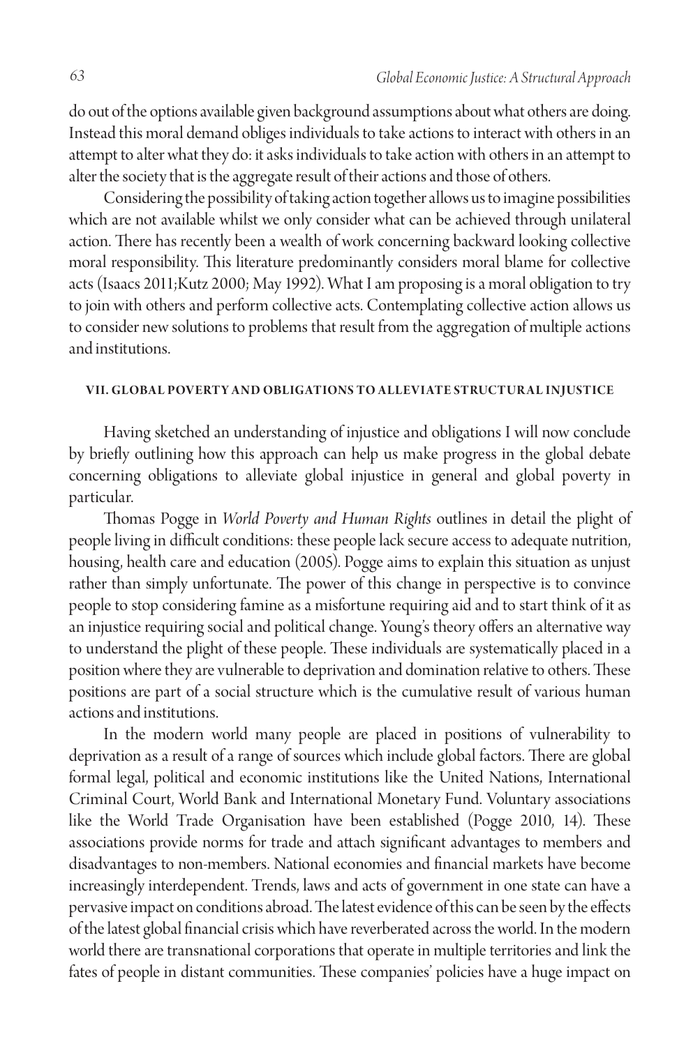do out of the options available given background assumptions about what others are doing. Instead this moral demand obliges individuals to take actions to interact with others in an attempt to alter what they do: it asks individuals to take action with others in an attempt to alter the society that is the aggregate result of their actions and those of others.

Considering the possibility of taking action together allows us to imagine possibilities which are not available whilst we only consider what can be achieved through unilateral action. There has recently been a wealth of work concerning backward looking collective moral responsibility. This literature predominantly considers moral blame for collective acts (Isaacs 2011;Kutz 2000; May 1992). What I am proposing is a moral obligation to try to join with others and perform collective acts. Contemplating collective action allows us to consider new solutions to problems that result from the aggregation of multiple actions and institutions.

#### **V II. Globa l Povert y a n d Obligations to Alleviate Structur a l Injustice**

Having sketched an understanding of injustice and obligations I will now conclude by briefly outlining how this approach can help us make progress in the global debate concerning obligations to alleviate global injustice in general and global poverty in particular.

Thomas Pogge in *World Poverty and Human Rights* outlines in detail the plight of people living in difficult conditions: these people lack secure access to adequate nutrition, housing, health care and education (2005). Pogge aims to explain this situation as unjust rather than simply unfortunate. The power of this change in perspective is to convince people to stop considering famine as a misfortune requiring aid and to start think of it as an injustice requiring social and political change. Young's theory offers an alternative way to understand the plight of these people. These individuals are systematically placed in a position where they are vulnerable to deprivation and domination relative to others. These positions are part of a social structure which is the cumulative result of various human actions and institutions.

In the modern world many people are placed in positions of vulnerability to deprivation as a result of a range of sources which include global factors. There are global formal legal, political and economic institutions like the United Nations, International Criminal Court, World Bank and International Monetary Fund. Voluntary associations like the World Trade Organisation have been established (Pogge 2010, 14). These associations provide norms for trade and attach significant advantages to members and disadvantages to non-members. National economies and financial markets have become increasingly interdependent. Trends, laws and acts of government in one state can have a pervasive impact on conditions abroad. The latest evidence of this can be seen by the effects of the latest global financial crisis which have reverberated across the world. In the modern world there are transnational corporations that operate in multiple territories and link the fates of people in distant communities. These companies' policies have a huge impact on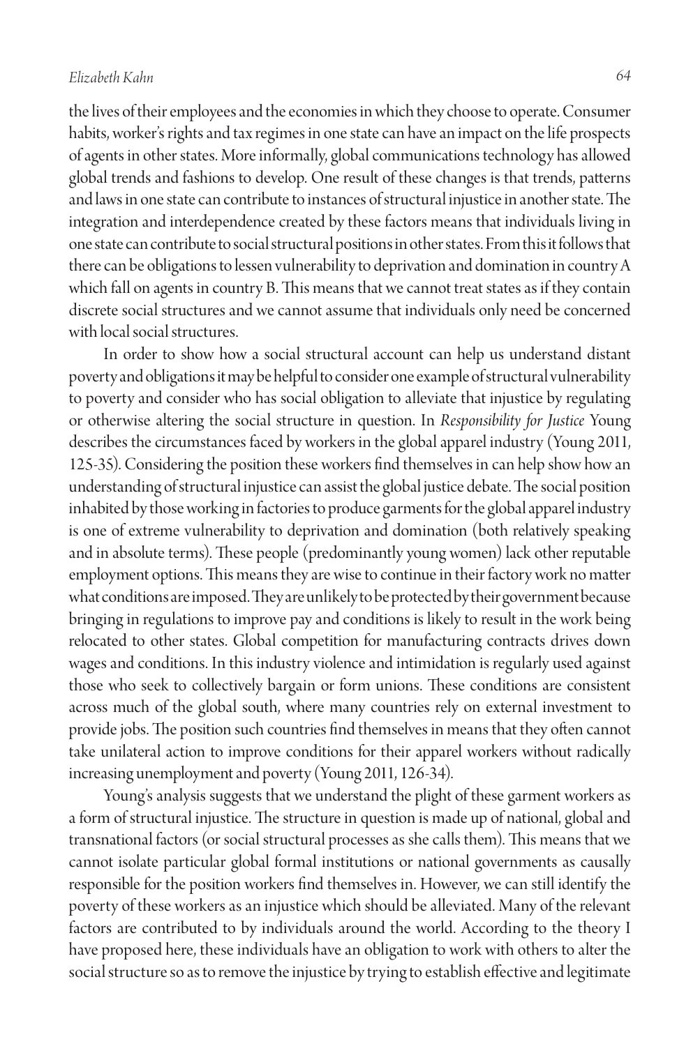the lives of their employees and the economies in which they choose to operate. Consumer habits, worker's rights and tax regimes in one state can have an impact on the life prospects of agents in other states. More informally, global communications technology has allowed global trends and fashions to develop. One result of these changes is that trends, patterns and laws in one state can contribute to instances of structural injustice in another state. The integration and interdependence created by these factors means that individuals living in one state can contribute to social structural positions in other states. From this it follows that there can be obligations to lessen vulnerability to deprivation and domination in country A which fall on agents in country B. This means that we cannot treat states as if they contain discrete social structures and we cannot assume that individuals only need be concerned with local social structures.

In order to show how a social structural account can help us understand distant poverty and obligations it may be helpful to consider one example of structural vulnerability to poverty and consider who has social obligation to alleviate that injustice by regulating or otherwise altering the social structure in question. In *Responsibility for Justice* Young describes the circumstances faced by workers in the global apparel industry (Young 2011, 125-35). Considering the position these workers find themselves in can help show how an understanding of structural injustice can assist the global justice debate. The social position inhabited by those working in factories to produce garments for the global apparel industry is one of extreme vulnerability to deprivation and domination (both relatively speaking and in absolute terms). These people (predominantly young women) lack other reputable employment options. This means they are wise to continue in their factory work no matter what conditions are imposed. They are unlikely to be protected by their government because bringing in regulations to improve pay and conditions is likely to result in the work being relocated to other states. Global competition for manufacturing contracts drives down wages and conditions. In this industry violence and intimidation is regularly used against those who seek to collectively bargain or form unions. These conditions are consistent across much of the global south, where many countries rely on external investment to provide jobs. The position such countries find themselves in means that they often cannot take unilateral action to improve conditions for their apparel workers without radically increasing unemployment and poverty (Young 2011, 126-34).

Young's analysis suggests that we understand the plight of these garment workers as a form of structural injustice. The structure in question is made up of national, global and transnational factors (or social structural processes as she calls them). This means that we cannot isolate particular global formal institutions or national governments as causally responsible for the position workers find themselves in. However, we can still identify the poverty of these workers as an injustice which should be alleviated. Many of the relevant factors are contributed to by individuals around the world. According to the theory I have proposed here, these individuals have an obligation to work with others to alter the social structure so as to remove the injustice by trying to establish effective and legitimate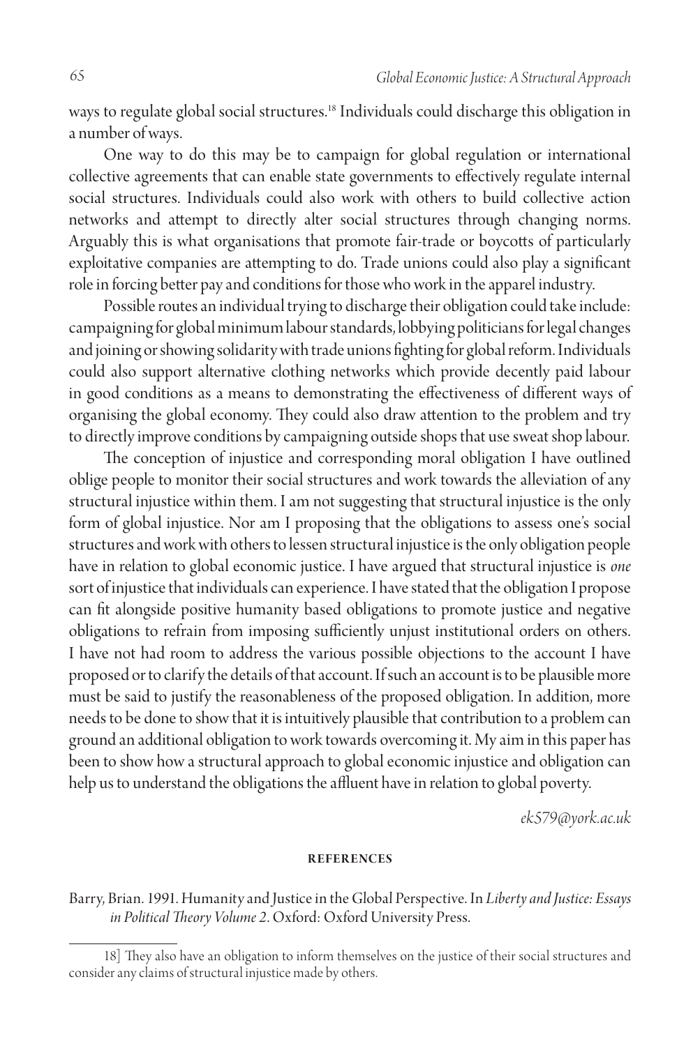ways to regulate global social structures.18 Individuals could discharge this obligation in a number of ways.

One way to do this may be to campaign for global regulation or international collective agreements that can enable state governments to effectively regulate internal social structures. Individuals could also work with others to build collective action networks and attempt to directly alter social structures through changing norms. Arguably this is what organisations that promote fair-trade or boycotts of particularly exploitative companies are attempting to do. Trade unions could also play a significant role in forcing better pay and conditions for those who work in the apparel industry.

Possible routes an individual trying to discharge their obligation could take include: campaigning for global minimum labour standards, lobbying politicians for legal changes and joining or showing solidarity with trade unions fighting for global reform. Individuals could also support alternative clothing networks which provide decently paid labour in good conditions as a means to demonstrating the effectiveness of different ways of organising the global economy. They could also draw attention to the problem and try to directly improve conditions by campaigning outside shops that use sweat shop labour.

The conception of injustice and corresponding moral obligation I have outlined oblige people to monitor their social structures and work towards the alleviation of any structural injustice within them. I am not suggesting that structural injustice is the only form of global injustice. Nor am I proposing that the obligations to assess one's social structures and work with others to lessen structural injustice is the only obligation people have in relation to global economic justice. I have argued that structural injustice is *one* sort of injustice that individuals can experience. I have stated that the obligation I propose can fit alongside positive humanity based obligations to promote justice and negative obligations to refrain from imposing sufficiently unjust institutional orders on others. I have not had room to address the various possible objections to the account I have proposed or to clarify the details of that account. If such an account is to be plausible more must be said to justify the reasonableness of the proposed obligation. In addition, more needs to be done to show that it is intuitively plausible that contribution to a problem can ground an additional obligation to work towards overcoming it. My aim in this paper has been to show how a structural approach to global economic injustice and obligation can help us to understand the obligations the affluent have in relation to global poverty.

*ek579@york.ac.uk*

#### **References**

Barry, Brian. 1991. Humanity and Justice in the Global Perspective. In *Liberty and Justice: Essays in Political Theory Volume 2*. Oxford: Oxford University Press.

<sup>18]</sup> They also have an obligation to inform themselves on the justice of their social structures and consider any claims of structural injustice made by others.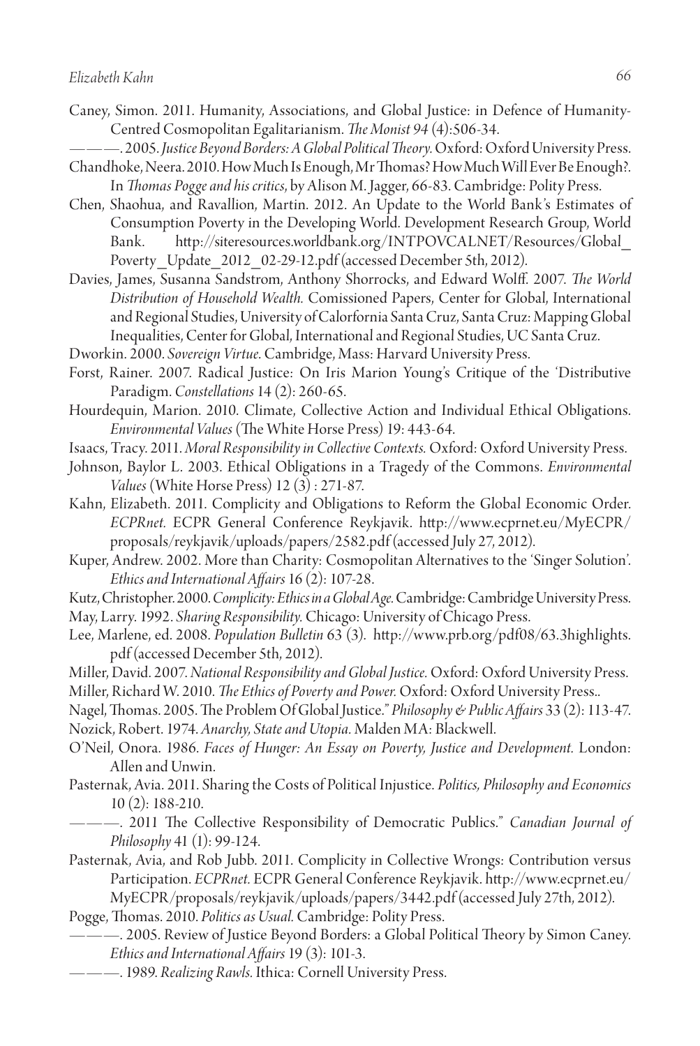- Caney, Simon. 2011. Humanity, Associations, and Global Justice: in Defence of Humanity-Centred Cosmopolitan Egalitarianism. *The Monist 94* (4):506-34.
- ———. 2005. *Justice Beyond Borders: A Global Political Theory.* Oxford: Oxford University Press. Chandhoke, Neera. 2010. How Much Is Enough, Mr Thomas? How Much Will Ever Be Enough?.
- In *Thomas Pogge and his critics*, by Alison M. Jagger, 66-83. Cambridge: Polity Press. Chen, Shaohua, and Ravallion, Martin. 2012. An Update to the World Bank's Estimates of Consumption Poverty in the Developing World. Development Research Group, World Bank. http://siteresources.worldbank.org/INTPOVCALNET/Resources/Global\_ Poverty Update 2012 02-29-12.pdf (accessed December 5th, 2012).
- Davies, James, Susanna Sandstrom, Anthony Shorrocks, and Edward Wolff. 2007. *The World Distribution of Household Wealth.* Comissioned Papers, Center for Global, International and Regional Studies, University of Calorfornia Santa Cruz, Santa Cruz: Mapping Global Inequalities, Center for Global, International and Regional Studies, UC Santa Cruz.
- Dworkin. 2000. *Sovereign Virtue*. Cambridge, Mass: Harvard University Press.
- Forst, Rainer. 2007. Radical Justice: On Iris Marion Young's Critique of the 'Distributive Paradigm. *Constellations* 14 (2): 260-65.
- Hourdequin, Marion. 2010. Climate, Collective Action and Individual Ethical Obligations. *Environmental Values* (The White Horse Press) 19: 443-64.
- Isaacs, Tracy. 2011. *Moral Responsibility in Collective Contexts.* Oxford: Oxford University Press.
- Johnson, Baylor L. 2003. Ethical Obligations in a Tragedy of the Commons. *Environmental Values* (White Horse Press) 12 (3) : 271-87.
- Kahn, Elizabeth. 2011. Complicity and Obligations to Reform the Global Economic Order. *ECPRnet.* ECPR General Conference Reykjavik. http://www.ecprnet.eu/MyECPR/ proposals/reykjavik/uploads/papers/2582.pdf (accessed July 27, 2012).
- Kuper, Andrew. 2002. More than Charity: Cosmopolitan Alternatives to the 'Singer Solution'. *Ethics and International Affairs* 16 (2): 107-28.
- Kutz, Christopher. 2000. *Complicity: Ethics in a Global Age.* Cambridge: Cambridge University Press. May, Larry. 1992. *Sharing Responsibility.* Chicago: University of Chicago Press.
- Lee, Marlene, ed. 2008. *Population Bulletin* 63 (3). http://www.prb.org/pdf08/63.3highlights. <sup>p</sup>df (accessed December 5th, 2012).
- Miller, David. 2007. *National Responsibility and Global Justice.* Oxford: Oxford University Press.
- Miller, Richard W. 2010. *The Ethics of Poverty and Power.* Oxford: Oxford University Press..
- Nagel, Thomas. 2005. The Problem Of Global Justice." *Philosophy & Public Affairs* 33 (2): 113-47.

Nozick, Robert. 1974. *Anarchy, State and Utopia.* Malden MA: Blackwell.

- O'Neil, Onora. 1986. *Faces of Hunger: An Essay on Poverty, Justice and Development.* London: Allen and Unwin.
- Pasternak, Avia. 2011. Sharing the Costs of Political Injustice. *Politics, Philosophy and Economics* 10 (2): 188-210.
	- ———. 2011 The Collective Responsibility of Democratic Publics." *Canadian Journal of Philosophy* 41 (1): 99-124.
- Pasternak, Avia, and Rob Jubb. 2011. Complicity in Collective Wrongs: Contribution versus Participation. *ECPRnet.* ECPR General Conference Reykjavik. http://www.ecprnet.eu/ MyECPR/proposals/reykjavik/uploads/papers/3442.pdf (accessed July 27th, 2012).

Pogge, Thomas. 2010. *Politics as Usual.* Cambridge: Polity Press.

- ———. 2005. Review of Justice Beyond Borders: a Global Political Theory by Simon Caney. *Ethics and International Affairs* 19 (3): 101-3.
- ———. 1989. *Realizing Rawls.* Ithica: Cornell University Press.